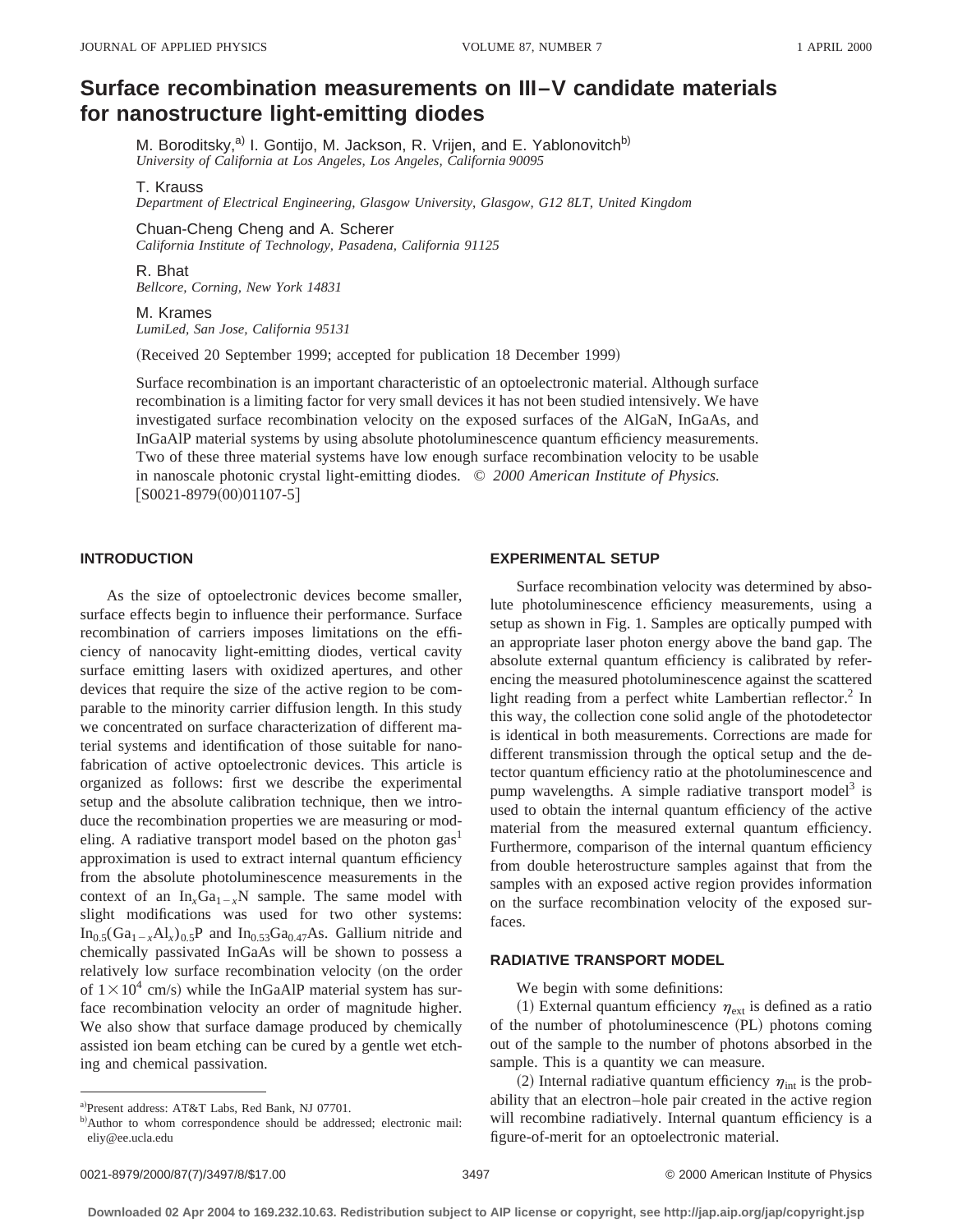# **Surface recombination measurements on III–V candidate materials for nanostructure light-emitting diodes**

M. Boroditsky,<sup>a)</sup> I. Gontijo, M. Jackson, R. Vrijen, and E. Yablonovitch<sup>b)</sup> *University of California at Los Angeles, Los Angeles, California 90095*

## T. Krauss

*Department of Electrical Engineering, Glasgow University, Glasgow, G12 8LT, United Kingdom*

Chuan-Cheng Cheng and A. Scherer *California Institute of Technology, Pasadena, California 91125*

R. Bhat *Bellcore, Corning, New York 14831*

#### M. Krames

*LumiLed, San Jose, California 95131*

(Received 20 September 1999; accepted for publication 18 December 1999)

Surface recombination is an important characteristic of an optoelectronic material. Although surface recombination is a limiting factor for very small devices it has not been studied intensively. We have investigated surface recombination velocity on the exposed surfaces of the AlGaN, InGaAs, and InGaAlP material systems by using absolute photoluminescence quantum efficiency measurements. Two of these three material systems have low enough surface recombination velocity to be usable in nanoscale photonic crystal light-emitting diodes. © *2000 American Institute of Physics.*  $[SO021-8979(00)01107-5]$ 

# **INTRODUCTION**

As the size of optoelectronic devices become smaller, surface effects begin to influence their performance. Surface recombination of carriers imposes limitations on the efficiency of nanocavity light-emitting diodes, vertical cavity surface emitting lasers with oxidized apertures, and other devices that require the size of the active region to be comparable to the minority carrier diffusion length. In this study we concentrated on surface characterization of different material systems and identification of those suitable for nanofabrication of active optoelectronic devices. This article is organized as follows: first we describe the experimental setup and the absolute calibration technique, then we introduce the recombination properties we are measuring or modeling. A radiative transport model based on the photon  $gas<sup>1</sup>$ approximation is used to extract internal quantum efficiency from the absolute photoluminescence measurements in the context of an  $In_{x}Ga_{1-x}N$  sample. The same model with slight modifications was used for two other systems:  $In_{0.5}(Ga_{1-x}Al_x)_{0.5}P$  and  $In_{0.53}Ga_{0.47}As$ . Gallium nitride and chemically passivated InGaAs will be shown to possess a relatively low surface recombination velocity (on the order of  $1 \times 10^4$  cm/s) while the InGaAlP material system has surface recombination velocity an order of magnitude higher. We also show that surface damage produced by chemically assisted ion beam etching can be cured by a gentle wet etching and chemical passivation.

## **EXPERIMENTAL SETUP**

Surface recombination velocity was determined by absolute photoluminescence efficiency measurements, using a setup as shown in Fig. 1. Samples are optically pumped with an appropriate laser photon energy above the band gap. The absolute external quantum efficiency is calibrated by referencing the measured photoluminescence against the scattered light reading from a perfect white Lambertian reflector. $\frac{2}{3}$  In this way, the collection cone solid angle of the photodetector is identical in both measurements. Corrections are made for different transmission through the optical setup and the detector quantum efficiency ratio at the photoluminescence and pump wavelengths. A simple radiative transport model<sup>3</sup> is used to obtain the internal quantum efficiency of the active material from the measured external quantum efficiency. Furthermore, comparison of the internal quantum efficiency from double heterostructure samples against that from the samples with an exposed active region provides information on the surface recombination velocity of the exposed surfaces.

## **RADIATIVE TRANSPORT MODEL**

We begin with some definitions:

(1) External quantum efficiency  $\eta_{\rm ext}$  is defined as a ratio of the number of photoluminescence (PL) photons coming out of the sample to the number of photons absorbed in the sample. This is a quantity we can measure.

(2) Internal radiative quantum efficiency  $\eta_{\text{int}}$  is the probability that an electron–hole pair created in the active region will recombine radiatively. Internal quantum efficiency is a figure-of-merit for an optoelectronic material.

a)Present address: AT&T Labs, Red Bank, NJ 07701.

b)Author to whom correspondence should be addressed; electronic mail: eliy@ee.ucla.edu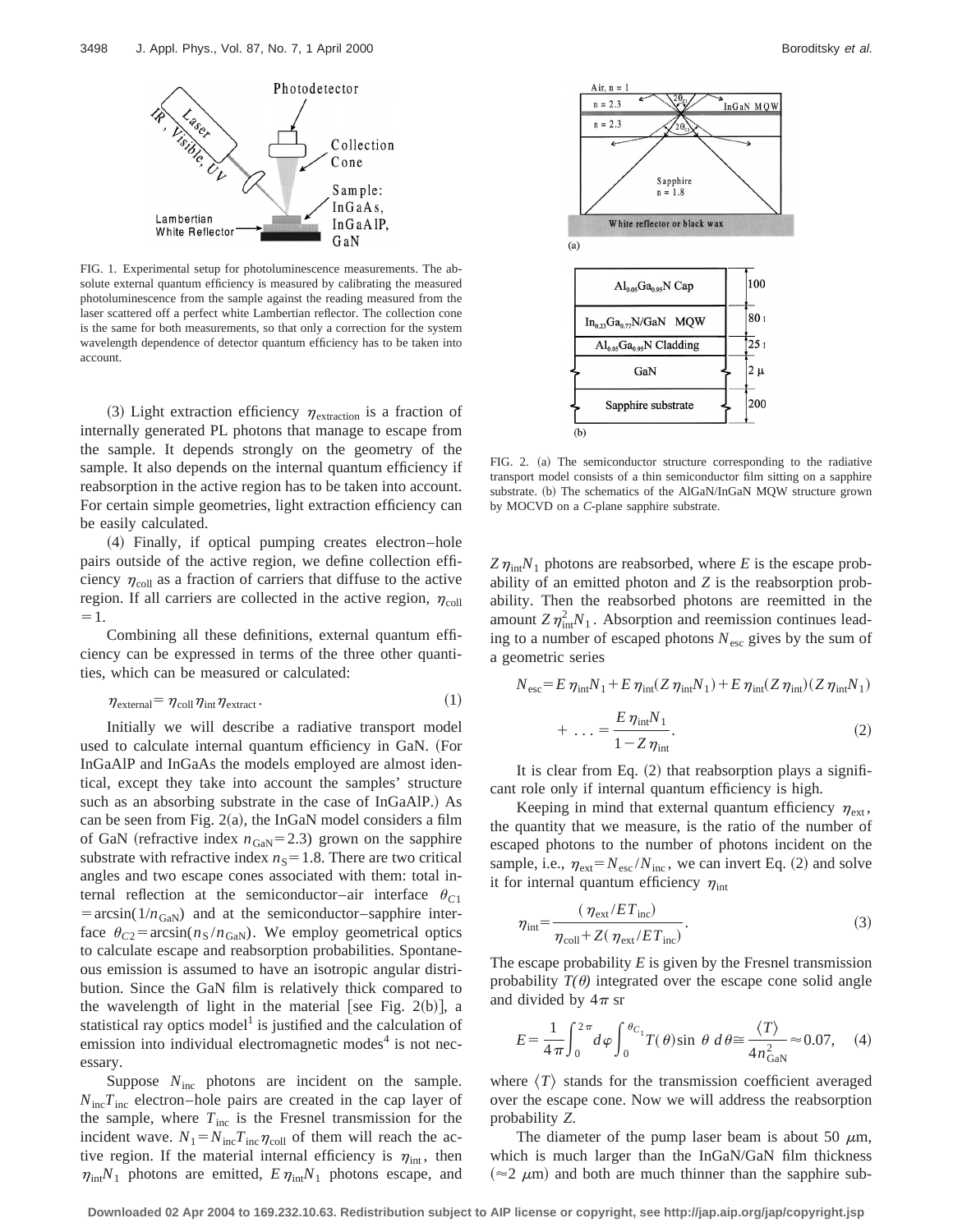

FIG. 1. Experimental setup for photoluminescence measurements. The absolute external quantum efficiency is measured by calibrating the measured photoluminescence from the sample against the reading measured from the laser scattered off a perfect white Lambertian reflector. The collection cone is the same for both measurements, so that only a correction for the system wavelength dependence of detector quantum efficiency has to be taken into account.

(3) Light extraction efficiency  $\eta_{\text{extraction}}$  is a fraction of internally generated PL photons that manage to escape from the sample. It depends strongly on the geometry of the sample. It also depends on the internal quantum efficiency if reabsorption in the active region has to be taken into account. For certain simple geometries, light extraction efficiency can be easily calculated.

~4! Finally, if optical pumping creates electron–hole pairs outside of the active region, we define collection efficiency  $\eta_{\text{coll}}$  as a fraction of carriers that diffuse to the active region. If all carriers are collected in the active region,  $\eta_{\text{coll}}$  $=1.$ 

Combining all these definitions, external quantum efficiency can be expressed in terms of the three other quantities, which can be measured or calculated:

$$
\eta_{\text{external}} = \eta_{\text{coll}} \eta_{\text{int}} \eta_{\text{extract}}.
$$
\n(1)

Initially we will describe a radiative transport model used to calculate internal quantum efficiency in GaN. (For InGaAlP and InGaAs the models employed are almost identical, except they take into account the samples' structure such as an absorbing substrate in the case of InGaAlP.) As can be seen from Fig.  $2(a)$ , the InGaN model considers a film of GaN (refractive index  $n_{\text{GaN}}$ =2.3) grown on the sapphire substrate with refractive index  $n<sub>S</sub>=1.8$ . There are two critical angles and two escape cones associated with them: total internal reflection at the semiconductor–air interface  $\theta_{C1}$  $= \arcsin(1/n_{\text{GAN}})$  and at the semiconductor–sapphire interface  $\theta_{C2}$ = arcsin( $n_S/n_{\text{GAN}}$ ). We employ geometrical optics to calculate escape and reabsorption probabilities. Spontaneous emission is assumed to have an isotropic angular distribution. Since the GaN film is relatively thick compared to the wavelength of light in the material [see Fig. 2(b)], a statistical ray optics model<sup>1</sup> is justified and the calculation of emission into individual electromagnetic modes $4$  is not necessary.

Suppose  $N_{\text{inc}}$  photons are incident on the sample.  $N_{\text{inc}}T_{\text{inc}}$  electron–hole pairs are created in the cap layer of the sample, where  $T_{\text{inc}}$  is the Fresnel transmission for the incident wave.  $N_1 = N_{\text{inc}} T_{\text{inc}} \eta_{\text{coll}}$  of them will reach the active region. If the material internal efficiency is  $\eta_{\text{int}}$ , then  $\eta_{int}N_1$  photons are emitted,  $E \eta_{int}N_1$  photons escape, and



FIG. 2. (a) The semiconductor structure corresponding to the radiative transport model consists of a thin semiconductor film sitting on a sapphire substrate. (b) The schematics of the AlGaN/InGaN MQW structure grown by MOCVD on a *C*-plane sapphire substrate.

 $Z\eta_{\text{int}}N_1$  photons are reabsorbed, where *E* is the escape probability of an emitted photon and *Z* is the reabsorption probability. Then the reabsorbed photons are reemitted in the amount  $Z\eta_{\text{int}}^2 N_1$ . Absorption and reemission continues leading to a number of escaped photons  $N_{\text{esc}}$  gives by the sum of a geometric series

$$
N_{\rm esc} = E \eta_{\rm int} N_1 + E \eta_{\rm int} (Z \eta_{\rm int} N_1) + E \eta_{\rm int} (Z \eta_{\rm int}) (Z \eta_{\rm int} N_1)
$$

$$
+ \dots = \frac{E \eta_{\rm int} N_1}{1 - Z \eta_{\rm int}}.
$$
(2)

It is clear from Eq.  $(2)$  that reabsorption plays a significant role only if internal quantum efficiency is high.

Keeping in mind that external quantum efficiency  $\eta_{\text{ext}}$ , the quantity that we measure, is the ratio of the number of escaped photons to the number of photons incident on the sample, i.e.,  $\eta_{ext} = N_{esc} / N_{inc}$ , we can invert Eq. (2) and solve it for internal quantum efficiency  $\eta$ <sub>int</sub>

$$
\eta_{\rm int} = \frac{(\eta_{\rm ext}/ET_{\rm inc})}{\eta_{\rm coll} + Z(\eta_{\rm ext}/ET_{\rm inc})}.
$$
\n(3)

The escape probability *E* is given by the Fresnel transmission probability  $T(\theta)$  integrated over the escape cone solid angle and divided by  $4\pi$  sr

$$
E = \frac{1}{4\pi} \int_0^{2\pi} d\varphi \int_0^{\theta_{C_1}} T(\theta) \sin \theta \, d\theta \approx \frac{\langle T \rangle}{4n_{\text{GAN}}^2} \approx 0.07,\quad (4)
$$

where  $\langle T \rangle$  stands for the transmission coefficient averaged over the escape cone. Now we will address the reabsorption probability *Z*.

The diameter of the pump laser beam is about 50  $\mu$ m, which is much larger than the InGaN/GaN film thickness  $(\approx 2 \mu m)$  and both are much thinner than the sapphire sub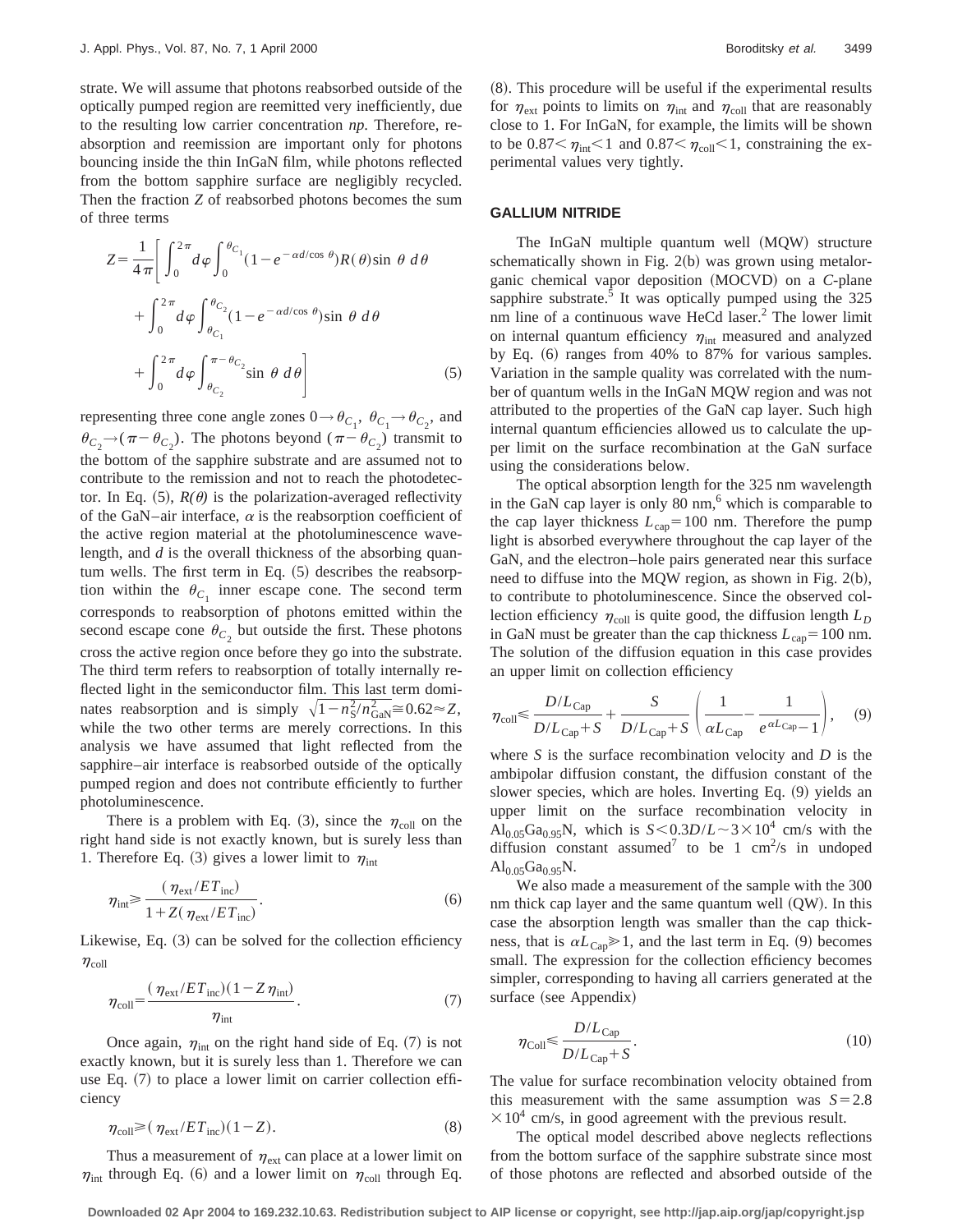strate. We will assume that photons reabsorbed outside of the optically pumped region are reemitted very inefficiently, due to the resulting low carrier concentration *np*. Therefore, reabsorption and reemission are important only for photons bouncing inside the thin InGaN film, while photons reflected from the bottom sapphire surface are negligibly recycled. Then the fraction *Z* of reabsorbed photons becomes the sum of three terms

$$
Z = \frac{1}{4\pi} \left[ \int_0^{2\pi} d\varphi \int_0^{\theta_{C_1}} (1 - e^{-\alpha d/\cos \theta}) R(\theta) \sin \theta \, d\theta \right. + \int_0^{2\pi} d\varphi \int_{\theta_{C_1}}^{\theta_{C_2}} (1 - e^{-\alpha d/\cos \theta}) \sin \theta \, d\theta + \int_0^{2\pi} d\varphi \int_{\theta_{C_2}}^{\pi - \theta_{C_2}} \sin \theta \, d\theta \right]
$$
(5)

representing three cone angle zones  $0 \rightarrow \theta_{C_1}$ ,  $\theta_{C_1} \rightarrow \theta_{C_2}$ , and  $\theta_{C_2} \rightarrow (\pi - \theta_{C_2})$ . The photons beyond ( $\pi - \theta_{C_2}$ ) transmit to the bottom of the sapphire substrate and are assumed not to contribute to the remission and not to reach the photodetector. In Eq.  $(5)$ ,  $R(\theta)$  is the polarization-averaged reflectivity of the GaN–air interface,  $\alpha$  is the reabsorption coefficient of the active region material at the photoluminescence wavelength, and *d* is the overall thickness of the absorbing quantum wells. The first term in Eq.  $(5)$  describes the reabsorption within the  $\theta_{C_1}$  inner escape cone. The second term corresponds to reabsorption of photons emitted within the second escape cone  $\theta_{C_2}$  but outside the first. These photons cross the active region once before they go into the substrate. The third term refers to reabsorption of totally internally reflected light in the semiconductor film. This last term dominates reabsorption and is simply  $\sqrt{1 - n_S^2/n_{\text{Gal}}^2} \approx 0.62 \approx Z$ , while the two other terms are merely corrections. In this analysis we have assumed that light reflected from the sapphire–air interface is reabsorbed outside of the optically pumped region and does not contribute efficiently to further photoluminescence.

There is a problem with Eq. (3), since the  $\eta_{\text{coll}}$  on the right hand side is not exactly known, but is surely less than 1. Therefore Eq. (3) gives a lower limit to  $\eta_{\text{int}}$ 

$$
\eta_{\rm int} \ge \frac{(\eta_{\rm ext}/ET_{\rm inc})}{1 + Z(\eta_{\rm ext}/ET_{\rm inc})}.
$$
\n(6)

Likewise, Eq.  $(3)$  can be solved for the collection efficiency  $\eta_{\rm coll}$ 

$$
\eta_{\text{coll}} = \frac{(\eta_{\text{ext}}/ET_{\text{inc}})(1 - Z \eta_{\text{int}})}{\eta_{\text{int}}}.
$$
\n(7)

Once again,  $\eta_{\text{int}}$  on the right hand side of Eq. (7) is not exactly known, but it is surely less than 1. Therefore we can use Eq.  $(7)$  to place a lower limit on carrier collection efficiency

$$
\eta_{\text{coll}} \ge (\eta_{\text{ext}}/ET_{\text{inc}})(1-Z). \tag{8}
$$

Thus a measurement of  $\eta_{ext}$  can place at a lower limit on  $\eta_{\text{int}}$  through Eq. (6) and a lower limit on  $\eta_{\text{coll}}$  through Eq.  $(8)$ . This procedure will be useful if the experimental results for  $\eta_{\text{ext}}$  points to limits on  $\eta_{\text{int}}$  and  $\eta_{\text{coll}}$  that are reasonably close to 1. For InGaN, for example, the limits will be shown to be  $0.87 \le \eta_{\text{int}} \le 1$  and  $0.87 \le \eta_{\text{coll}} \le 1$ , constraining the experimental values very tightly.

## **GALLIUM NITRIDE**

The InGaN multiple quantum well (MQW) structure schematically shown in Fig.  $2(b)$  was grown using metalorganic chemical vapor deposition (MOCVD) on a *C*-plane sapphire substrate.<sup>5</sup> It was optically pumped using the  $325$ nm line of a continuous wave  $HeCd$  laser.<sup>2</sup> The lower limit on internal quantum efficiency  $\eta_{\text{int}}$  measured and analyzed by Eq.  $(6)$  ranges from 40% to 87% for various samples. Variation in the sample quality was correlated with the number of quantum wells in the InGaN MQW region and was not attributed to the properties of the GaN cap layer. Such high internal quantum efficiencies allowed us to calculate the upper limit on the surface recombination at the GaN surface using the considerations below.

The optical absorption length for the 325 nm wavelength in the GaN cap layer is only  $80 \text{ nm}$ , which is comparable to the cap layer thickness  $L_{cap} = 100$  nm. Therefore the pump light is absorbed everywhere throughout the cap layer of the GaN, and the electron–hole pairs generated near this surface need to diffuse into the MQW region, as shown in Fig.  $2(b)$ , to contribute to photoluminescence. Since the observed collection efficiency  $\eta_{\text{coll}}$  is quite good, the diffusion length  $L_D$ in GaN must be greater than the cap thickness  $L_{cap} = 100$  nm. The solution of the diffusion equation in this case provides an upper limit on collection efficiency

$$
\eta_{\text{coll}} \leqslant \frac{D/L_{\text{Cap}}}{D/L_{\text{Cap}} + S} + \frac{S}{D/L_{\text{Cap}} + S} \left( \frac{1}{\alpha L_{\text{Cap}}} - \frac{1}{e^{\alpha L_{\text{Cap}}} - 1} \right), \quad (9)
$$

where *S* is the surface recombination velocity and *D* is the ambipolar diffusion constant, the diffusion constant of the slower species, which are holes. Inverting Eq.  $(9)$  yields an upper limit on the surface recombination velocity in Al<sub>0.05</sub>Ga<sub>0.95</sub>N, which is  $S \le 0.3D/L \sim 3 \times 10^4$  cm/s with the diffusion constant assumed<sup>7</sup> to be 1 cm<sup>2</sup>/s in undoped  $Al_{0.05}Ga_{0.95}N.$ 

We also made a measurement of the sample with the 300 nm thick cap layer and the same quantum well  $(QW)$ . In this case the absorption length was smaller than the cap thickness, that is  $\alpha L_{\text{Cap}} \geq 1$ , and the last term in Eq. (9) becomes small. The expression for the collection efficiency becomes simpler, corresponding to having all carriers generated at the surface (see Appendix)

$$
\eta_{\text{Coll}} \le \frac{D/L_{\text{Cap}}}{D/L_{\text{Cap}} + S}.\tag{10}
$$

The value for surface recombination velocity obtained from this measurement with the same assumption was  $S = 2.8$  $\times 10^4$  cm/s, in good agreement with the previous result.

The optical model described above neglects reflections from the bottom surface of the sapphire substrate since most of those photons are reflected and absorbed outside of the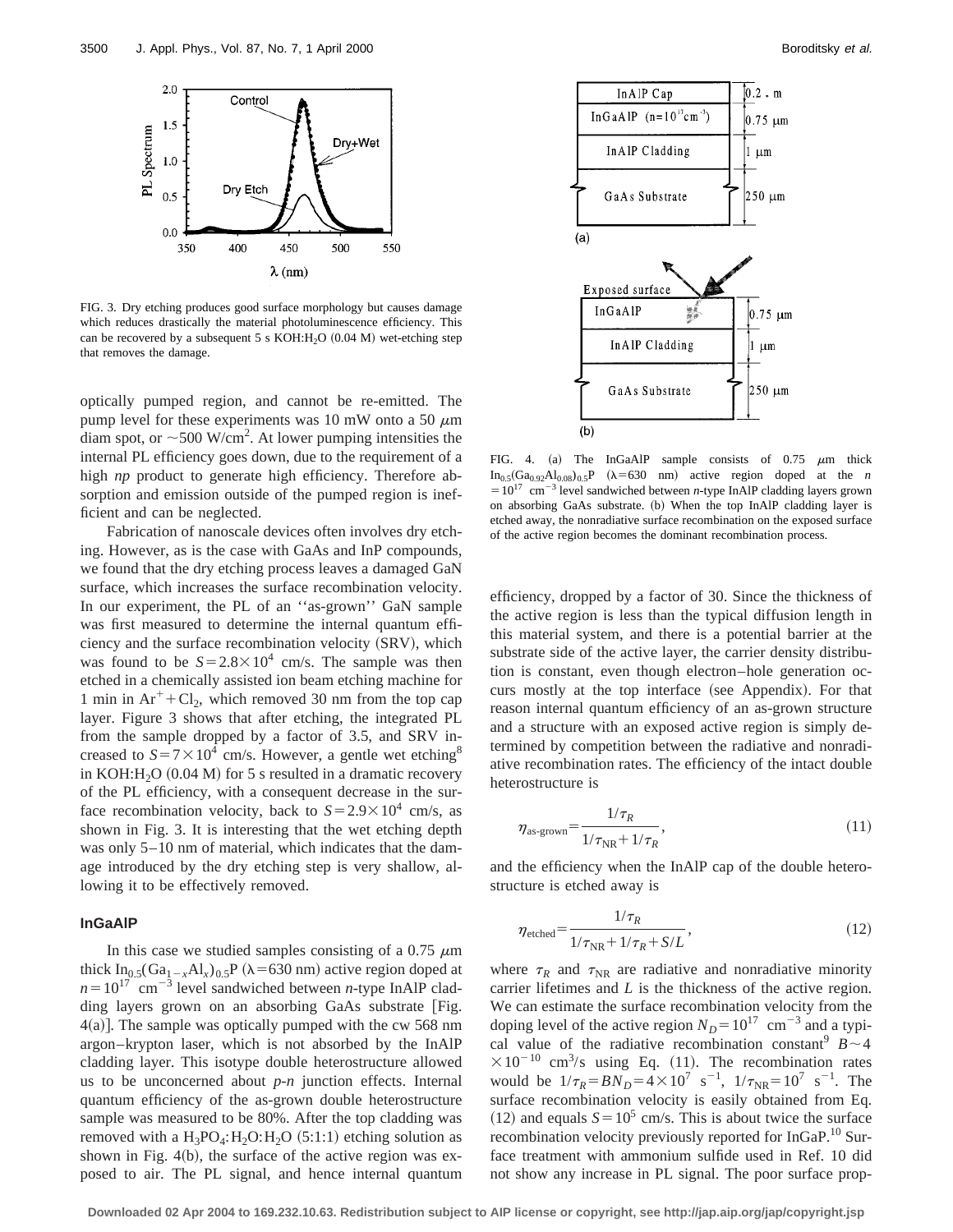

FIG. 3. Dry etching produces good surface morphology but causes damage which reduces drastically the material photoluminescence efficiency. This can be recovered by a subsequent 5 s KOH: $H<sub>2</sub>O$  (0.04 M) wet-etching step that removes the damage.

optically pumped region, and cannot be re-emitted. The pump level for these experiments was 10 mW onto a 50  $\mu$ m diam spot, or  $\sim$  500 W/cm<sup>2</sup>. At lower pumping intensities the internal PL efficiency goes down, due to the requirement of a high *np* product to generate high efficiency. Therefore absorption and emission outside of the pumped region is inefficient and can be neglected.

Fabrication of nanoscale devices often involves dry etching. However, as is the case with GaAs and InP compounds, we found that the dry etching process leaves a damaged GaN surface, which increases the surface recombination velocity. In our experiment, the PL of an ''as-grown'' GaN sample was first measured to determine the internal quantum efficiency and the surface recombination velocity (SRV), which was found to be  $S = 2.8 \times 10^4$  cm/s. The sample was then etched in a chemically assisted ion beam etching machine for 1 min in  $Ar^+ + Cl_2$ , which removed 30 nm from the top cap layer. Figure 3 shows that after etching, the integrated PL from the sample dropped by a factor of 3.5, and SRV increased to  $S = 7 \times 10^4$  cm/s. However, a gentle wet etching<sup>8</sup> in KOH: $H<sub>2</sub>O$  (0.04 M) for 5 s resulted in a dramatic recovery of the PL efficiency, with a consequent decrease in the surface recombination velocity, back to  $S = 2.9 \times 10^4$  cm/s, as shown in Fig. 3. It is interesting that the wet etching depth was only 5–10 nm of material, which indicates that the damage introduced by the dry etching step is very shallow, allowing it to be effectively removed.

# **InGaAlP**

In this case we studied samples consisting of a 0.75  $\mu$ m thick  $In_0$ <sub>5</sub>(Ga<sub>1-x</sub>Al<sub>x</sub>)<sub>0.5</sub>P ( $\lambda$ =630 nm) active region doped at  $n=10^{17}$  cm<sup>-3</sup> level sandwiched between *n*-type InAlP cladding layers grown on an absorbing GaAs substrate [Fig.  $4(a)$ ]. The sample was optically pumped with the cw 568 nm argon–krypton laser, which is not absorbed by the InAlP cladding layer. This isotype double heterostructure allowed us to be unconcerned about *p-n* junction effects. Internal quantum efficiency of the as-grown double heterostructure sample was measured to be 80%. After the top cladding was removed with a  $H_3PO_4$ :  $H_2O$ :  $H_2O$  (5:1:1) etching solution as shown in Fig.  $4(b)$ , the surface of the active region was exposed to air. The PL signal, and hence internal quantum



FIG. 4. (a) The InGaAlP sample consists of  $0.75 \mu m$  thick  $In_{0.5}(Ga_{0.92}Al_{0.08})_{0.5}P$  ( $\lambda$ =630 nm) active region doped at the *n*  $=10^{17}$  cm<sup>-3</sup> level sandwiched between *n*-type InAlP cladding layers grown on absorbing GaAs substrate. (b) When the top InAlP cladding layer is etched away, the nonradiative surface recombination on the exposed surface of the active region becomes the dominant recombination process.

efficiency, dropped by a factor of 30. Since the thickness of the active region is less than the typical diffusion length in this material system, and there is a potential barrier at the substrate side of the active layer, the carrier density distribution is constant, even though electron–hole generation occurs mostly at the top interface (see Appendix). For that reason internal quantum efficiency of an as-grown structure and a structure with an exposed active region is simply determined by competition between the radiative and nonradiative recombination rates. The efficiency of the intact double heterostructure is

$$
\eta_{\text{as-grown}} = \frac{1/\tau_R}{1/\tau_{\text{NR}} + 1/\tau_R},\tag{11}
$$

and the efficiency when the InAlP cap of the double heterostructure is etched away is

$$
\eta_{\text{etched}} = \frac{1/\tau_R}{1/\tau_{\text{NR}} + 1/\tau_R + S/L},\tag{12}
$$

where  $\tau_R$  and  $\tau_{NR}$  are radiative and nonradiative minority carrier lifetimes and *L* is the thickness of the active region. We can estimate the surface recombination velocity from the doping level of the active region  $N_D = 10^{17}$  cm<sup>-3</sup> and a typical value of the radiative recombination constant  $B \sim 4$  $\times 10^{-10}$  cm<sup>3</sup>/s using Eq. (11). The recombination rates would be  $1/\tau_R = BN_D = 4 \times 10^7 \text{ s}^{-1}$ ,  $1/\tau_{NR} = 10^7 \text{ s}^{-1}$ . The surface recombination velocity is easily obtained from Eq.  $(12)$  and equals  $S = 10^5$  cm/s. This is about twice the surface recombination velocity previously reported for InGaP.<sup>10</sup> Surface treatment with ammonium sulfide used in Ref. 10 did not show any increase in PL signal. The poor surface prop-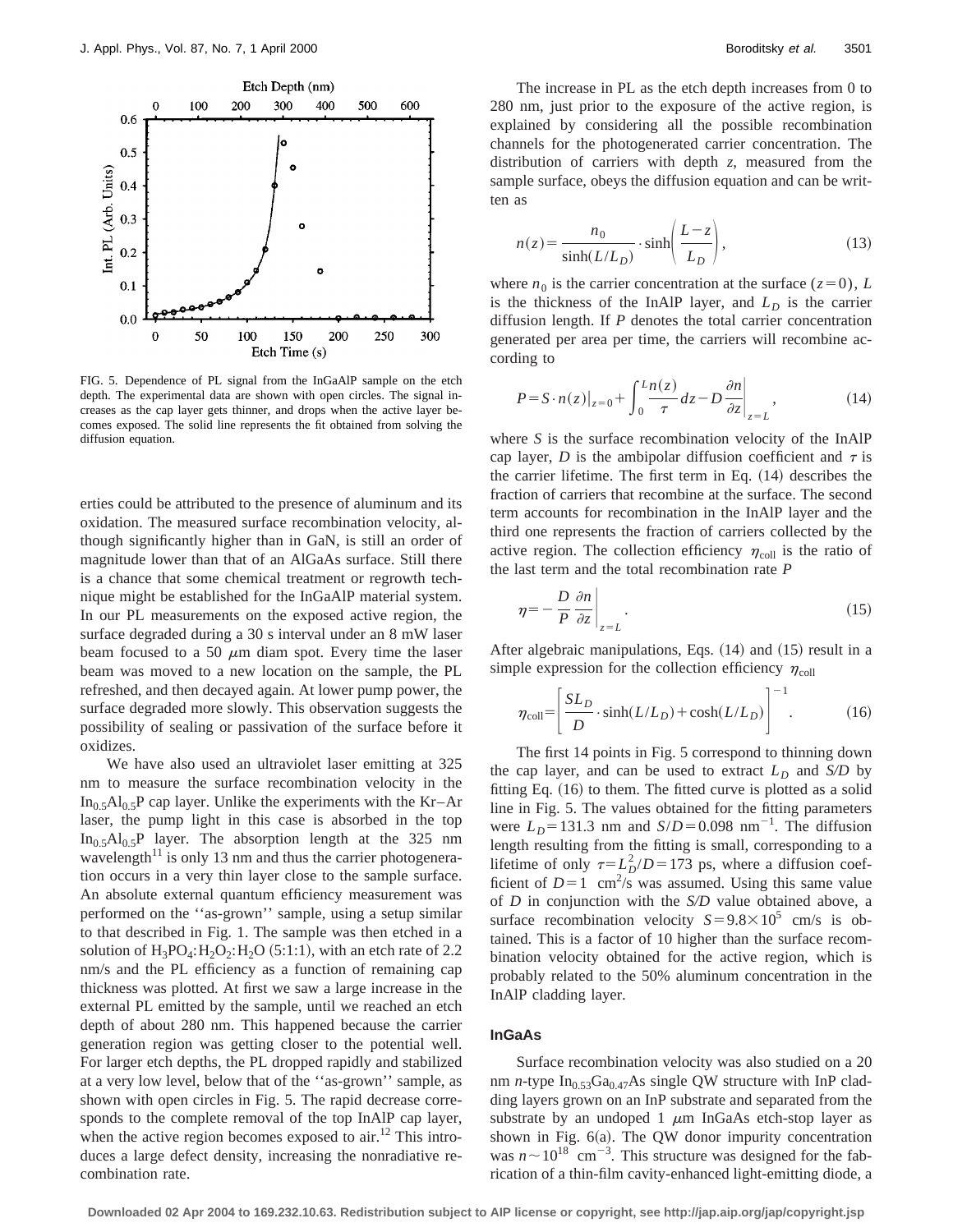

FIG. 5. Dependence of PL signal from the InGaAlP sample on the etch depth. The experimental data are shown with open circles. The signal increases as the cap layer gets thinner, and drops when the active layer becomes exposed. The solid line represents the fit obtained from solving the diffusion equation.

erties could be attributed to the presence of aluminum and its oxidation. The measured surface recombination velocity, although significantly higher than in GaN, is still an order of magnitude lower than that of an AlGaAs surface. Still there is a chance that some chemical treatment or regrowth technique might be established for the InGaAlP material system. In our PL measurements on the exposed active region, the surface degraded during a 30 s interval under an 8 mW laser beam focused to a 50  $\mu$ m diam spot. Every time the laser beam was moved to a new location on the sample, the PL refreshed, and then decayed again. At lower pump power, the surface degraded more slowly. This observation suggests the possibility of sealing or passivation of the surface before it oxidizes.

We have also used an ultraviolet laser emitting at 325 nm to measure the surface recombination velocity in the In<sub>0.5</sub>Al<sub>0.5</sub>P cap layer. Unlike the experiments with the Kr–Ar laser, the pump light in this case is absorbed in the top  $In_0, A1_0, P$  layer. The absorption length at the 325 nm wavelength $11$  is only 13 nm and thus the carrier photogeneration occurs in a very thin layer close to the sample surface. An absolute external quantum efficiency measurement was performed on the ''as-grown'' sample, using a setup similar to that described in Fig. 1. The sample was then etched in a solution of  $H_3PO_4$ :  $H_2O_2$ :  $H_2O$  (5:1:1), with an etch rate of 2.2 nm/s and the PL efficiency as a function of remaining cap thickness was plotted. At first we saw a large increase in the external PL emitted by the sample, until we reached an etch depth of about 280 nm. This happened because the carrier generation region was getting closer to the potential well. For larger etch depths, the PL dropped rapidly and stabilized at a very low level, below that of the ''as-grown'' sample, as shown with open circles in Fig. 5. The rapid decrease corresponds to the complete removal of the top InAlP cap layer, when the active region becomes exposed to  $air<sup>12</sup>$ . This introduces a large defect density, increasing the nonradiative recombination rate.

The increase in PL as the etch depth increases from 0 to 280 nm, just prior to the exposure of the active region, is explained by considering all the possible recombination channels for the photogenerated carrier concentration. The distribution of carriers with depth *z*, measured from the sample surface, obeys the diffusion equation and can be written as

$$
n(z) = \frac{n_0}{\sinh(L/L_D)} \cdot \sinh\left(\frac{L-z}{L_D}\right),\tag{13}
$$

where  $n_0$  is the carrier concentration at the surface ( $z=0$ ), *L* is the thickness of the InAlP layer, and  $L<sub>D</sub>$  is the carrier diffusion length. If *P* denotes the total carrier concentration generated per area per time, the carriers will recombine according to

$$
P = S \cdot n(z)|_{z=0} + \int_0^L \frac{n(z)}{\tau} dz - D \frac{\partial n}{\partial z} \bigg|_{z=L}, \tag{14}
$$

where *S* is the surface recombination velocity of the InAlP cap layer, *D* is the ambipolar diffusion coefficient and  $\tau$  is the carrier lifetime. The first term in Eq.  $(14)$  describes the fraction of carriers that recombine at the surface. The second term accounts for recombination in the InAlP layer and the third one represents the fraction of carriers collected by the active region. The collection efficiency  $\eta_{\text{coll}}$  is the ratio of the last term and the total recombination rate *P*

$$
\eta = -\frac{D}{P} \left. \frac{\partial n}{\partial z} \right|_{z=L} . \tag{15}
$$

After algebraic manipulations, Eqs.  $(14)$  and  $(15)$  result in a simple expression for the collection efficiency  $\eta_{\text{coll}}$ 

$$
\eta_{\text{coll}} = \left[ \frac{SL_D}{D} \cdot \sinh(L/L_D) + \cosh(L/L_D) \right]^{-1}.
$$
 (16)

The first 14 points in Fig. 5 correspond to thinning down the cap layer, and can be used to extract  $L<sub>D</sub>$  and  $S/D$  by fitting Eq.  $(16)$  to them. The fitted curve is plotted as a solid line in Fig. 5. The values obtained for the fitting parameters were  $L_D$ =131.3 nm and *S*/*D*=0.098 nm<sup>-1</sup>. The diffusion length resulting from the fitting is small, corresponding to a lifetime of only  $\tau = L_D^2/D = 173$  ps, where a diffusion coefficient of  $D=1$  cm<sup>2</sup>/s was assumed. Using this same value of *D* in conjunction with the *S/D* value obtained above, a surface recombination velocity  $S = 9.8 \times 10^5$  cm/s is obtained. This is a factor of 10 higher than the surface recombination velocity obtained for the active region, which is probably related to the 50% aluminum concentration in the InAlP cladding layer.

## **InGaAs**

Surface recombination velocity was also studied on a 20 nm *n*-type  $In_{0.53}Ga_{0.47}As$  single QW structure with InP cladding layers grown on an InP substrate and separated from the substrate by an undoped  $1 \mu m$  InGaAs etch-stop layer as shown in Fig.  $6(a)$ . The QW donor impurity concentration was  $n \sim 10^{18}$  cm<sup>-3</sup>. This structure was designed for the fabrication of a thin-film cavity-enhanced light-emitting diode, a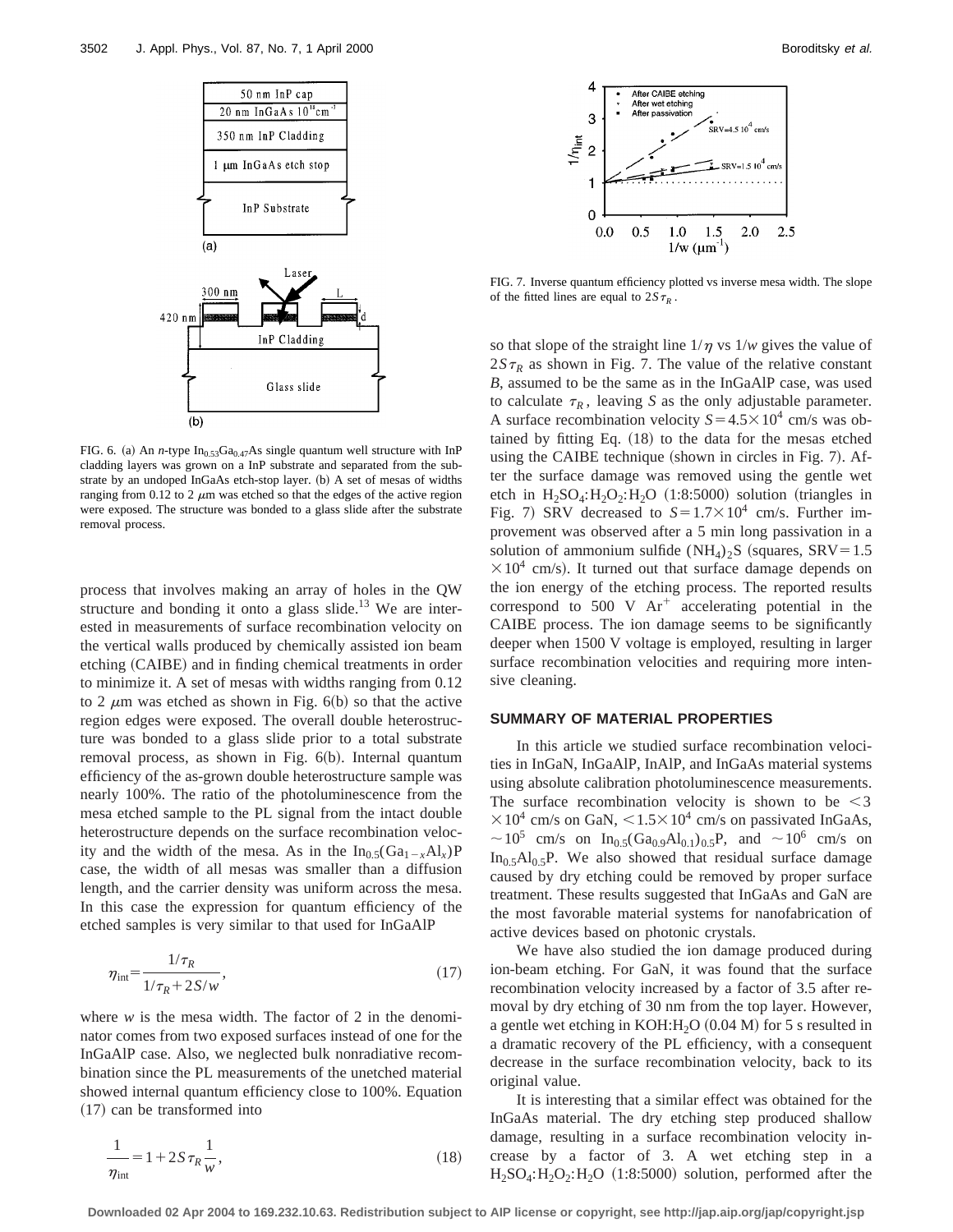

FIG. 6. (a) An *n*-type  $In<sub>0.53</sub>Ga<sub>0.47</sub>As single quantum well structure with InP$ cladding layers was grown on a InP substrate and separated from the substrate by an undoped InGaAs etch-stop layer. (b) A set of mesas of widths ranging from 0.12 to 2  $\mu$ m was etched so that the edges of the active region were exposed. The structure was bonded to a glass slide after the substrate removal process.

process that involves making an array of holes in the QW structure and bonding it onto a glass slide.<sup>13</sup> We are interested in measurements of surface recombination velocity on the vertical walls produced by chemically assisted ion beam etching (CAIBE) and in finding chemical treatments in order to minimize it. A set of mesas with widths ranging from 0.12 to 2  $\mu$ m was etched as shown in Fig. 6(b) so that the active region edges were exposed. The overall double heterostructure was bonded to a glass slide prior to a total substrate removal process, as shown in Fig.  $6(b)$ . Internal quantum efficiency of the as-grown double heterostructure sample was nearly 100%. The ratio of the photoluminescence from the mesa etched sample to the PL signal from the intact double heterostructure depends on the surface recombination velocity and the width of the mesa. As in the  $In_{0.5}(Ga_{1-x}Al_x)P$ case, the width of all mesas was smaller than a diffusion length, and the carrier density was uniform across the mesa. In this case the expression for quantum efficiency of the etched samples is very similar to that used for InGaAlP

$$
\eta_{\rm int} = \frac{1/\tau_R}{1/\tau_R + 2S/w},\tag{17}
$$

where  $w$  is the mesa width. The factor of 2 in the denominator comes from two exposed surfaces instead of one for the InGaAlP case. Also, we neglected bulk nonradiative recombination since the PL measurements of the unetched material showed internal quantum efficiency close to 100%. Equation  $(17)$  can be transformed into

$$
\frac{1}{\eta_{\text{int}}} = 1 + 2S \,\tau_R \frac{1}{w},\tag{18}
$$



FIG. 7. Inverse quantum efficiency plotted vs inverse mesa width. The slope of the fitted lines are equal to  $2S\tau_R$ .

so that slope of the straight line  $1/\eta$  vs  $1/w$  gives the value of  $2S\tau_R$  as shown in Fig. 7. The value of the relative constant *B*, assumed to be the same as in the InGaAlP case, was used to calculate  $\tau_R$ , leaving *S* as the only adjustable parameter. A surface recombination velocity  $S = 4.5 \times 10^4$  cm/s was obtained by fitting Eq.  $(18)$  to the data for the mesas etched using the CAIBE technique (shown in circles in Fig.  $7$ ). After the surface damage was removed using the gentle wet etch in  $H_2SO_4$ : $H_2O_2$ : $H_2O$  (1:8:5000) solution (triangles in Fig. 7) SRV decreased to  $S=1.7\times10^4$  cm/s. Further improvement was observed after a 5 min long passivation in a solution of ammonium sulfide  $(NH_4)_2S$  (squares, SRV=1.5)  $\times 10^4$  cm/s). It turned out that surface damage depends on the ion energy of the etching process. The reported results correspond to 500 V  $Ar^+$  accelerating potential in the CAIBE process. The ion damage seems to be significantly deeper when 1500 V voltage is employed, resulting in larger surface recombination velocities and requiring more intensive cleaning.

#### **SUMMARY OF MATERIAL PROPERTIES**

In this article we studied surface recombination velocities in InGaN, InGaAlP, InAlP, and InGaAs material systems using absolute calibration photoluminescence measurements. The surface recombination velocity is shown to be  $\leq$ 3  $\times 10^4$  cm/s on GaN,  $\leq 1.5 \times 10^4$  cm/s on passivated InGaAs,  $\sim 10^5$  cm/s on In<sub>0.5</sub>(Ga<sub>0.9</sub>Al<sub>0.1</sub>)<sub>0.5</sub>P, and  $\sim 10^6$  cm/s on  $In_0, A1_0, B$ . We also showed that residual surface damage caused by dry etching could be removed by proper surface treatment. These results suggested that InGaAs and GaN are the most favorable material systems for nanofabrication of active devices based on photonic crystals.

We have also studied the ion damage produced during ion-beam etching. For GaN, it was found that the surface recombination velocity increased by a factor of 3.5 after removal by dry etching of 30 nm from the top layer. However, a gentle wet etching in KOH: $H<sub>2</sub>O (0.04 M)$  for 5 s resulted in a dramatic recovery of the PL efficiency, with a consequent decrease in the surface recombination velocity, back to its original value.

It is interesting that a similar effect was obtained for the InGaAs material. The dry etching step produced shallow damage, resulting in a surface recombination velocity increase by a factor of 3. A wet etching step in a  $H_2SO_4$ :  $H_2O_2$ :  $H_2O$  (1:8:5000) solution, performed after the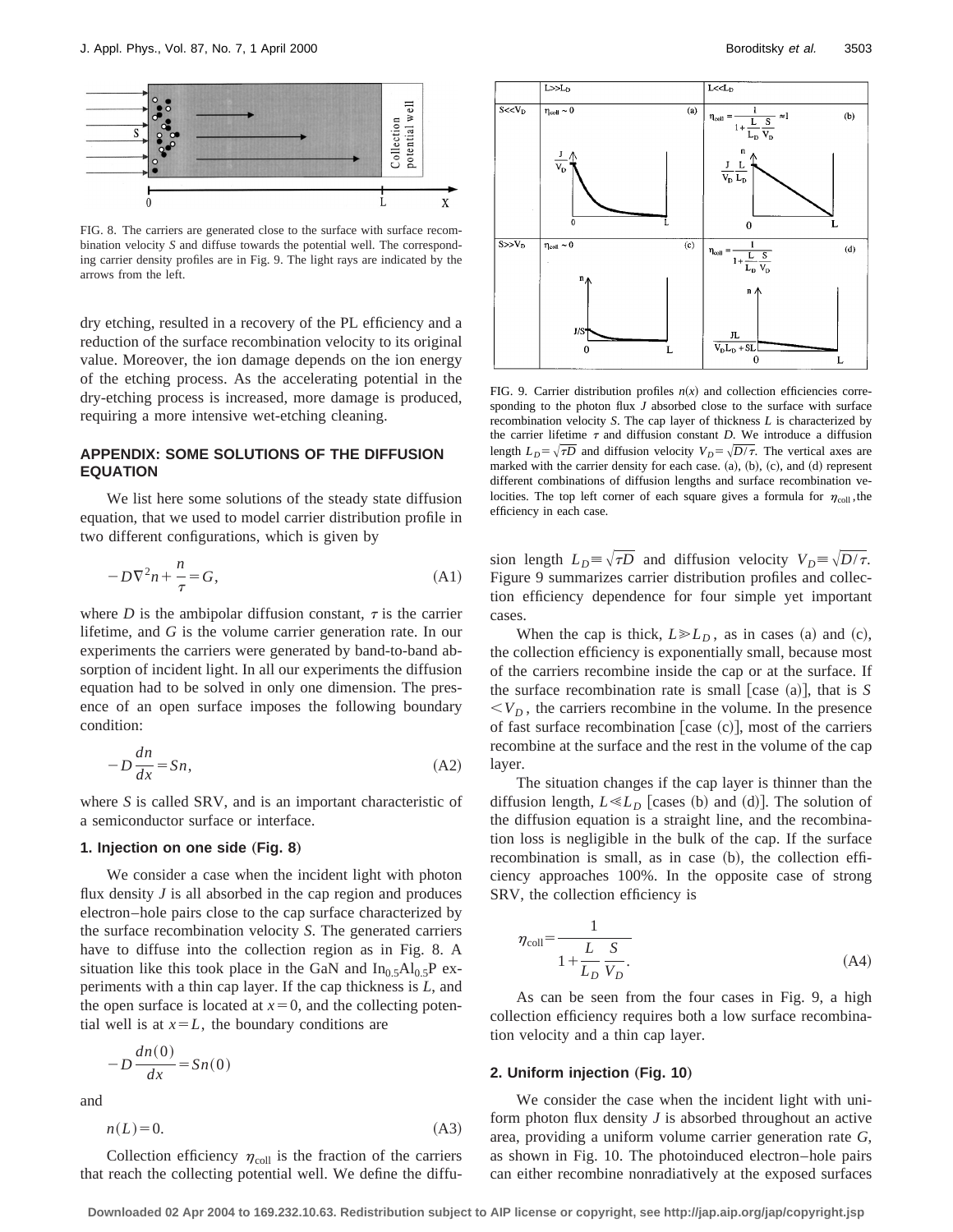

FIG. 8. The carriers are generated close to the surface with surface recombination velocity *S* and diffuse towards the potential well. The corresponding carrier density profiles are in Fig. 9. The light rays are indicated by the arrows from the left.

dry etching, resulted in a recovery of the PL efficiency and a reduction of the surface recombination velocity to its original value. Moreover, the ion damage depends on the ion energy of the etching process. As the accelerating potential in the dry-etching process is increased, more damage is produced, requiring a more intensive wet-etching cleaning.

## **APPENDIX: SOME SOLUTIONS OF THE DIFFUSION EQUATION**

We list here some solutions of the steady state diffusion equation, that we used to model carrier distribution profile in two different configurations, which is given by

$$
-D\nabla^2 n + \frac{n}{\tau} = G,\tag{A1}
$$

where *D* is the ambipolar diffusion constant,  $\tau$  is the carrier lifetime, and *G* is the volume carrier generation rate. In our experiments the carriers were generated by band-to-band absorption of incident light. In all our experiments the diffusion equation had to be solved in only one dimension. The presence of an open surface imposes the following boundary condition:

$$
-D\frac{dn}{dx} = Sn,
$$
 (A2)

where *S* is called SRV, and is an important characteristic of a semiconductor surface or interface.

## **1. Injection on one side (Fig. 8)**

We consider a case when the incident light with photon flux density *J* is all absorbed in the cap region and produces electron–hole pairs close to the cap surface characterized by the surface recombination velocity *S*. The generated carriers have to diffuse into the collection region as in Fig. 8. A situation like this took place in the GaN and  $In_0, A1_0, P$  experiments with a thin cap layer. If the cap thickness is *L*, and the open surface is located at  $x=0$ , and the collecting potential well is at  $x=L$ , the boundary conditions are

$$
-D\frac{dn(0)}{dx} = Sn(0)
$$

and

$$
n(L)=0.\tag{A3}
$$

 $L < L_D$ 



FIG. 9. Carrier distribution profiles  $n(x)$  and collection efficiencies corresponding to the photon flux *J* absorbed close to the surface with surface recombination velocity *S*. The cap layer of thickness *L* is characterized by the carrier lifetime  $\tau$  and diffusion constant *D*. We introduce a diffusion length  $L_D = \sqrt{\tau D}$  and diffusion velocity  $V_D = \sqrt{D/\tau}$ . The vertical axes are marked with the carrier density for each case.  $(a)$ ,  $(b)$ ,  $(c)$ , and  $(d)$  represent different combinations of diffusion lengths and surface recombination velocities. The top left corner of each square gives a formula for  $\eta_{\text{coll}}$ , the efficiency in each case.

sion length  $L_D \equiv \sqrt{\tau D}$  and diffusion velocity  $V_D \equiv \sqrt{D/\tau}$ . Figure 9 summarizes carrier distribution profiles and collection efficiency dependence for four simple yet important cases.

When the cap is thick,  $L \ge L_D$ , as in cases (a) and (c), the collection efficiency is exponentially small, because most of the carriers recombine inside the cap or at the surface. If the surface recombination rate is small [case  $(a)$ ], that is *S*  $\langle V_D, \rangle$ , the carriers recombine in the volume. In the presence of fast surface recombination [case  $(c)$ ], most of the carriers recombine at the surface and the rest in the volume of the cap layer.

The situation changes if the cap layer is thinner than the diffusion length,  $L \ll L_D$  [cases (b) and (d)]. The solution of the diffusion equation is a straight line, and the recombination loss is negligible in the bulk of the cap. If the surface recombination is small, as in case  $(b)$ , the collection efficiency approaches 100%. In the opposite case of strong SRV, the collection efficiency is

$$
\eta_{\text{coll}} = \frac{1}{1 + \frac{L}{L_D} \frac{S}{V_D}}.\tag{A4}
$$

As can be seen from the four cases in Fig. 9, a high collection efficiency requires both a low surface recombination velocity and a thin cap layer.

## **2. Uniform injection (Fig. 10)**

We consider the case when the incident light with uniform photon flux density *J* is absorbed throughout an active area, providing a uniform volume carrier generation rate *G*, as shown in Fig. 10. The photoinduced electron–hole pairs can either recombine nonradiatively at the exposed surfaces

Collection efficiency  $\eta_{\text{coll}}$  is the fraction of the carriers that reach the collecting potential well. We define the diffu-